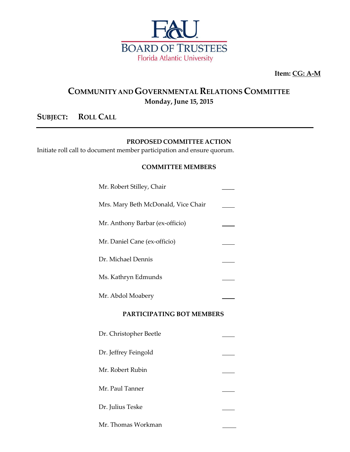

**Item: CG: A-M**

## **COMMUNITY ANDGOVERNMENTAL RELATIONS COMMITTEE Monday, June 15, 2015**

### **SUBJECT: ROLL CALL**

#### **PROPOSED COMMITTEE ACTION**

Initiate roll call to document member participation and ensure quorum.

#### **COMMITTEE MEMBERS**

| PARTICIPATING BOT MEMBERS           |  |  |
|-------------------------------------|--|--|
| Mr. Abdol Moabery                   |  |  |
| Ms. Kathryn Edmunds                 |  |  |
| Dr. Michael Dennis                  |  |  |
| Mr. Daniel Cane (ex-officio)        |  |  |
| Mr. Anthony Barbar (ex-officio)     |  |  |
| Mrs. Mary Beth McDonald, Vice Chair |  |  |
| Mr. Robert Stilley, Chair           |  |  |

| Dr. Christopher Beetle |  |
|------------------------|--|
| Dr. Jeffrey Feingold   |  |
| Mr. Robert Rubin       |  |
| Mr. Paul Tanner        |  |
| Dr. Julius Teske       |  |
| Mr. Thomas Workman     |  |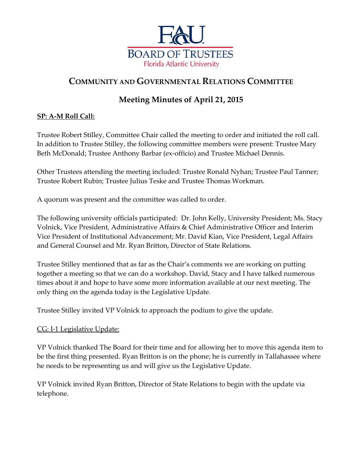

# **COMMUNITY AND GOVERNMENTAL RELATIONS COMMITTEE**

## **Meeting Minutes of April 21, 2015**

### **SP: A-M Roll Call:**

Trustee Robert Stilley, Committee Chair called the meeting to order and initiated the roll call. In addition to Trustee Stilley, the following committee members were present: Trustee Mary Beth McDonald; Trustee Anthony Barbar (ex-officio) and Trustee Michael Dennis.

Other Trustees attending the meeting included: Trustee Ronald Nyhan; Trustee Paul Tanner; Trustee Robert Rubin; Trustee Julius Teske and Trustee Thomas Workman.

A quorum was present and the committee was called to order.

The following university officials participated: Dr. John Kelly, University President; Ms. Stacy Volnick, Vice President, Administrative Affairs & Chief Administrative Officer and Interim Vice President of Institutional Advancement; Mr. David Kian, Vice President, Legal Affairs and General Counsel and Mr. Ryan Britton, Director of State Relations.

Trustee Stilley mentioned that as far as the Chair's comments we are working on putting together a meeting so that we can do a workshop. David, Stacy and I have talked numerous times about it and hope to have some more information available at our next meeting. The only thing on the agenda today is the Legislative Update.

Trustee Stilley invited VP Volnick to approach the podium to give the update.

#### CG: I-1 Legislative Update:

VP Volnick thanked The Board for their time and for allowing her to move this agenda item to be the first thing presented. Ryan Britton is on the phone; he is currently in Tallahassee where he needs to be representing us and will give us the Legislative Update.

VP Volnick invited Ryan Britton, Director of State Relations to begin with the update via telephone.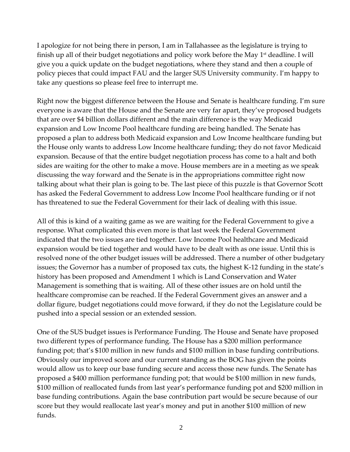I apologize for not being there in person, I am in Tallahassee as the legislature is trying to finish up all of their budget negotiations and policy work before the May  $1<sup>st</sup>$  deadline. I will give you a quick update on the budget negotiations, where they stand and then a couple of policy pieces that could impact FAU and the larger SUS University community. I'm happy to take any questions so please feel free to interrupt me.

Right now the biggest difference between the House and Senate is healthcare funding. I'm sure everyone is aware that the House and the Senate are very far apart, they've proposed budgets that are over \$4 billion dollars different and the main difference is the way Medicaid expansion and Low Income Pool healthcare funding are being handled. The Senate has proposed a plan to address both Medicaid expansion and Low Income healthcare funding but the House only wants to address Low Income healthcare funding; they do not favor Medicaid expansion. Because of that the entire budget negotiation process has come to a halt and both sides are waiting for the other to make a move. House members are in a meeting as we speak discussing the way forward and the Senate is in the appropriations committee right now talking about what their plan is going to be. The last piece of this puzzle is that Governor Scott has asked the Federal Government to address Low Income Pool healthcare funding or if not has threatened to sue the Federal Government for their lack of dealing with this issue.

All of this is kind of a waiting game as we are waiting for the Federal Government to give a response. What complicated this even more is that last week the Federal Government indicated that the two issues are tied together. Low Income Pool healthcare and Medicaid expansion would be tied together and would have to be dealt with as one issue. Until this is resolved none of the other budget issues will be addressed. There a number of other budgetary issues; the Governor has a number of proposed tax cuts, the highest K-12 funding in the state's history has been proposed and Amendment 1 which is Land Conservation and Water Management is something that is waiting. All of these other issues are on hold until the healthcare compromise can be reached. If the Federal Government gives an answer and a dollar figure, budget negotiations could move forward, if they do not the Legislature could be pushed into a special session or an extended session.

One of the SUS budget issues is Performance Funding. The House and Senate have proposed two different types of performance funding. The House has a \$200 million performance funding pot; that's \$100 million in new funds and \$100 million in base funding contributions. Obviously our improved score and our current standing as the BOG has given the points would allow us to keep our base funding secure and access those new funds. The Senate has proposed a \$400 million performance funding pot; that would be \$100 million in new funds, \$100 million of reallocated funds from last year's performance funding pot and \$200 million in base funding contributions. Again the base contribution part would be secure because of our score but they would reallocate last year's money and put in another \$100 million of new funds.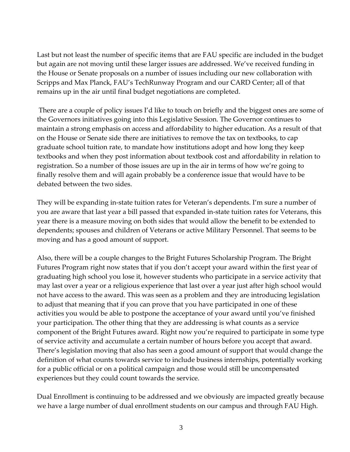Last but not least the number of specific items that are FAU specific are included in the budget but again are not moving until these larger issues are addressed. We've received funding in the House or Senate proposals on a number of issues including our new collaboration with Scripps and Max Planck, FAU's TechRunway Program and our CARD Center; all of that remains up in the air until final budget negotiations are completed.

There are a couple of policy issues I'd like to touch on briefly and the biggest ones are some of the Governors initiatives going into this Legislative Session. The Governor continues to maintain a strong emphasis on access and affordability to higher education. As a result of that on the House or Senate side there are initiatives to remove the tax on textbooks, to cap graduate school tuition rate, to mandate how institutions adopt and how long they keep textbooks and when they post information about textbook cost and affordability in relation to registration. So a number of those issues are up in the air in terms of how we're going to finally resolve them and will again probably be a conference issue that would have to be debated between the two sides.

They will be expanding in-state tuition rates for Veteran's dependents. I'm sure a number of you are aware that last year a bill passed that expanded in-state tuition rates for Veterans, this year there is a measure moving on both sides that would allow the benefit to be extended to dependents; spouses and children of Veterans or active Military Personnel. That seems to be moving and has a good amount of support.

Also, there will be a couple changes to the Bright Futures Scholarship Program. The Bright Futures Program right now states that if you don't accept your award within the first year of graduating high school you lose it, however students who participate in a service activity that may last over a year or a religious experience that last over a year just after high school would not have access to the award. This was seen as a problem and they are introducing legislation to adjust that meaning that if you can prove that you have participated in one of these activities you would be able to postpone the acceptance of your award until you've finished your participation. The other thing that they are addressing is what counts as a service component of the Bright Futures award. Right now you're required to participate in some type of service activity and accumulate a certain number of hours before you accept that award. There's legislation moving that also has seen a good amount of support that would change the definition of what counts towards service to include business internships, potentially working for a public official or on a political campaign and those would still be uncompensated experiences but they could count towards the service.

Dual Enrollment is continuing to be addressed and we obviously are impacted greatly because we have a large number of dual enrollment students on our campus and through FAU High.